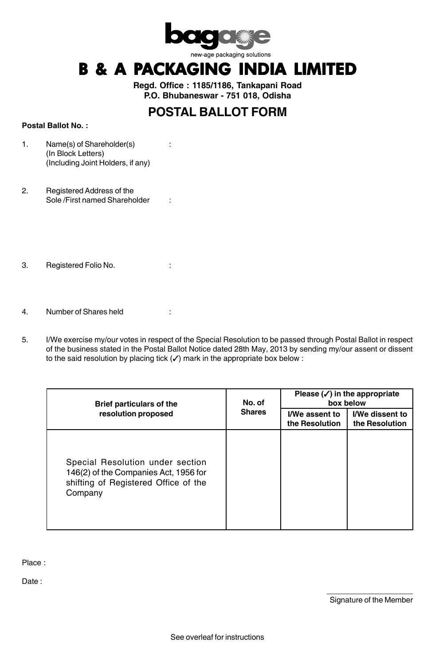

## **B & A PACKAGING INDIA LIMITED**

**Regd. Office : 1185/1186, Tankapani Road P.O. Bhubaneswar - 751 018, Odisha**

## **POSTAL BALLOT FORM**

## **Postal Ballot No. :**

- 1. Name(s) of Shareholder(s) : (In Block Letters) (Including Joint Holders, if any)
- 2. Registered Address of the Sole /First named Shareholder :
- 3. Registered Folio No. **:** :
- 4. Number of Shares held :
- 5. I/We exercise my/our votes in respect of the Special Resolution to be passed through Postal Ballot in respect of the business stated in the Postal Ballot Notice dated 28th May, 2013 by sending my/our assent or dissent to the said resolution by placing tick  $(V)$  mark in the appropriate box below :

| <b>Brief particulars of the</b><br>resolution proposed                                                                       | No. of<br><b>Shares</b> | Please $(\checkmark)$ in the appropriate<br>box below |                                   |
|------------------------------------------------------------------------------------------------------------------------------|-------------------------|-------------------------------------------------------|-----------------------------------|
|                                                                                                                              |                         | I/We assent to<br>the Resolution                      | I/We dissent to<br>the Resolution |
| Special Resolution under section<br>146(2) of the Companies Act, 1956 for<br>shifting of Registered Office of the<br>Company |                         |                                                       |                                   |

Place :

Date: